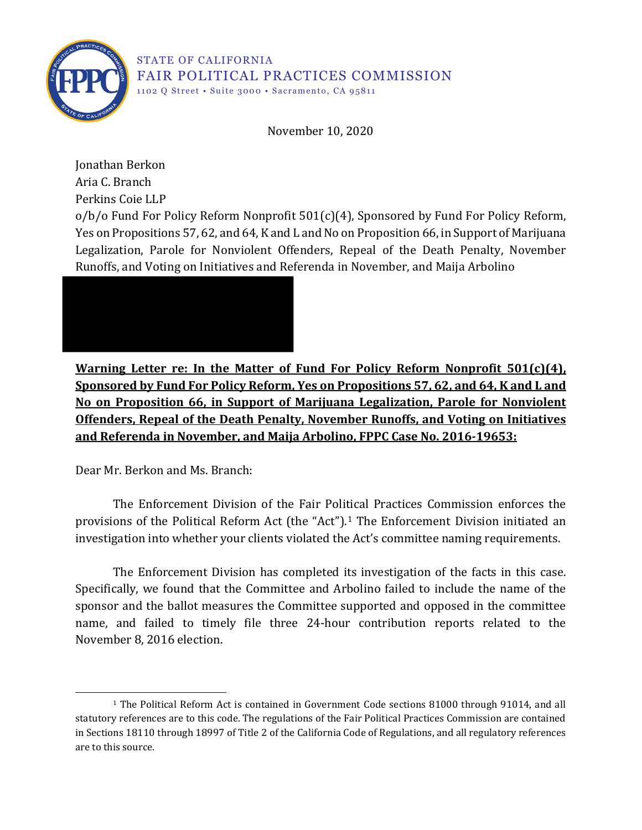

November 10, 2020

Jonathan Berkon Aria C. Branch Perkins Coie LLP  $o/b$  Fund For Policy Reform Nonprofit  $501(c)(4)$ , Sponsored by Fund For Policy Reform, Yes on Propositions 57, 62, and 64, K and L and No on Proposition 66, in Support of Marijuana Legalization, Parole for Nonviolent Offenders, Repeal of the Death Penalty, November Runoffs, and Voting on Initiatives and Referenda in November, and Maija Arbolino



**Warning Letter re: In the Matter of Fund For Policy Reform Nonprofit 501(c)(4), Sponsored by Fund For Policy Reform, Yes on Propositions 57, 62, and 64, K and L and No on Proposition 66, in Support of Marijuana Legalization, Parole for Nonviolent Offenders, Repeal of the Death Penalty, November Runoffs, and Voting on Initiatives and Referenda in November, and Maija Arbolino, FPPC Case No. 2016-19653:**

Dear Mr. Berkon and Ms. Branch:

The Enforcement Division of the Fair Political Practices Commission enforces the provisions of the Political Reform Act (the "Act").<sup>1</sup> The Enforcement Division initiated an investigation into whether your clients violated the Act's committee naming requirements.

The Enforcement Division has completed its investigation of the facts in this case. Specifically, we found that the Committee and Arbolino failed to include the name of the sponsor and the ballot measures the Committee supported and opposed in the committee name, and failed to timely file three 24-hour contribution reports related to the November 8, 2016 election.

<sup>1</sup> The Political Reform Act is contained in Government Code sections 81000 through 91014, and all statutory references are to this code. The regulations of the Fair Political Practices Commission are contained in Sections 18110 through 18997 of Title 2 of the California Code of Regulations, and all regulatory references are to this source.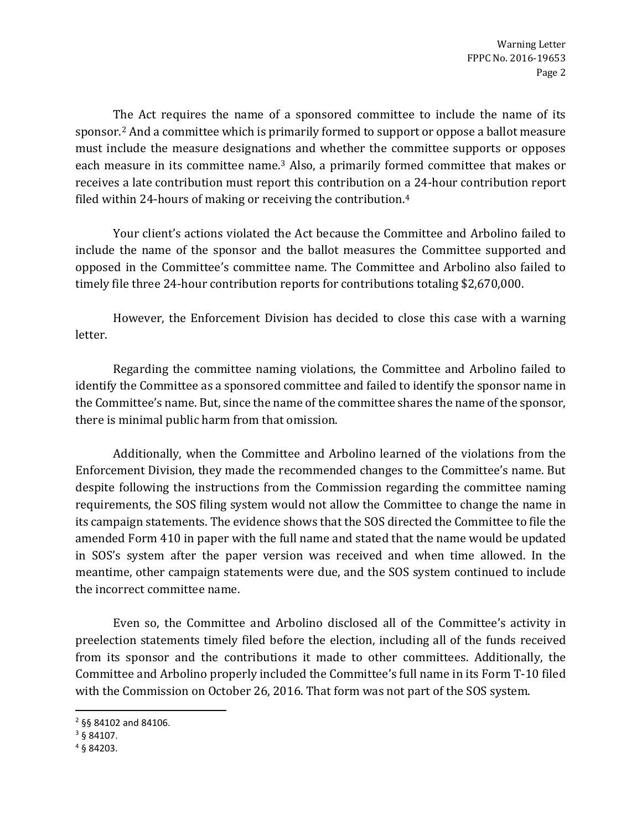The Act requires the name of a sponsored committee to include the name of its sponsor.2 And a committee which is primarily formed to support or oppose a ballot measure must include the measure designations and whether the committee supports or opposes each measure in its committee name.3 Also, a primarily formed committee that makes or receives a late contribution must report this contribution on a 24-hour contribution report filed within 24-hours of making or receiving the contribution.4

Your client's actions violated the Act because the Committee and Arbolino failed to include the name of the sponsor and the ballot measures the Committee supported and opposed in the Committee's committee name. The Committee and Arbolino also failed to timely file three 24-hour contribution reports for contributions totaling \$2,670,000.

However, the Enforcement Division has decided to close this case with a warning letter.

Regarding the committee naming violations, the Committee and Arbolino failed to identify the Committee as a sponsored committee and failed to identify the sponsor name in the Committee's name. But, since the name of the committee shares the name of the sponsor, there is minimal public harm from that omission.

Additionally, when the Committee and Arbolino learned of the violations from the Enforcement Division, they made the recommended changes to the Committee's name. But despite following the instructions from the Commission regarding the committee naming requirements, the SOS filing system would not allow the Committee to change the name in its campaign statements. The evidence shows that the SOS directed the Committee to file the amended Form 410 in paper with the full name and stated that the name would be updated in SOS's system after the paper version was received and when time allowed. In the meantime, other campaign statements were due, and the SOS system continued to include the incorrect committee name.

Even so, the Committee and Arbolino disclosed all of the Committee's activity in preelection statements timely filed before the election, including all of the funds received from its sponsor and the contributions it made to other committees. Additionally, the Committee and Arbolino properly included the Committee's full name in its Form T-10 filed with the Commission on October 26, 2016. That form was not part of the SOS system.

<sup>2</sup> §§ 84102 and 84106.

<sup>3</sup> § 84107.

<sup>4</sup> § 84203.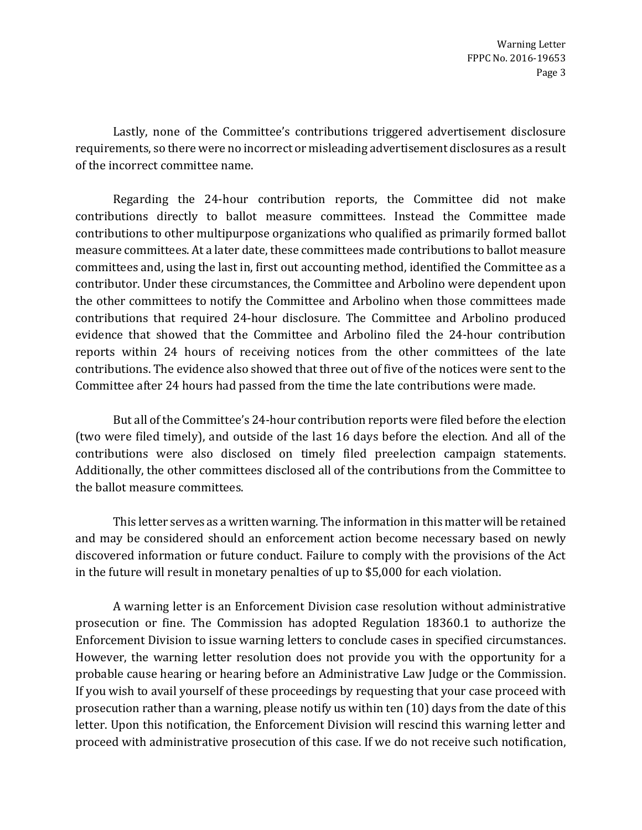Lastly, none of the Committee's contributions triggered advertisement disclosure requirements, so there were no incorrect or misleading advertisement disclosures as a result of the incorrect committee name.

Regarding the 24-hour contribution reports, the Committee did not make contributions directly to ballot measure committees. Instead the Committee made contributions to other multipurpose organizations who qualified as primarily formed ballot measure committees. At a later date, these committees made contributions to ballot measure committees and, using the last in, first out accounting method, identified the Committee as a contributor. Under these circumstances, the Committee and Arbolino were dependent upon the other committees to notify the Committee and Arbolino when those committees made contributions that required 24-hour disclosure. The Committee and Arbolino produced evidence that showed that the Committee and Arbolino filed the 24-hour contribution reports within 24 hours of receiving notices from the other committees of the late contributions. The evidence also showed that three out of five of the notices were sent to the Committee after 24 hours had passed from the time the late contributions were made.

But all of the Committee's 24-hour contribution reports were filed before the election (two were filed timely), and outside of the last 16 days before the election. And all of the contributions were also disclosed on timely filed preelection campaign statements. Additionally, the other committees disclosed all of the contributions from the Committee to the ballot measure committees.

This letter serves as a written warning. The information in this matter will be retained and may be considered should an enforcement action become necessary based on newly discovered information or future conduct. Failure to comply with the provisions of the Act in the future will result in monetary penalties of up to \$5,000 for each violation.

A warning letter is an Enforcement Division case resolution without administrative prosecution or fine. The Commission has adopted Regulation 18360.1 to authorize the Enforcement Division to issue warning letters to conclude cases in specified circumstances. However, the warning letter resolution does not provide you with the opportunity for a probable cause hearing or hearing before an Administrative Law Judge or the Commission. If you wish to avail yourself of these proceedings by requesting that your case proceed with prosecution rather than a warning, please notify us within ten (10) days from the date of this letter. Upon this notification, the Enforcement Division will rescind this warning letter and proceed with administrative prosecution of this case. If we do not receive such notification,